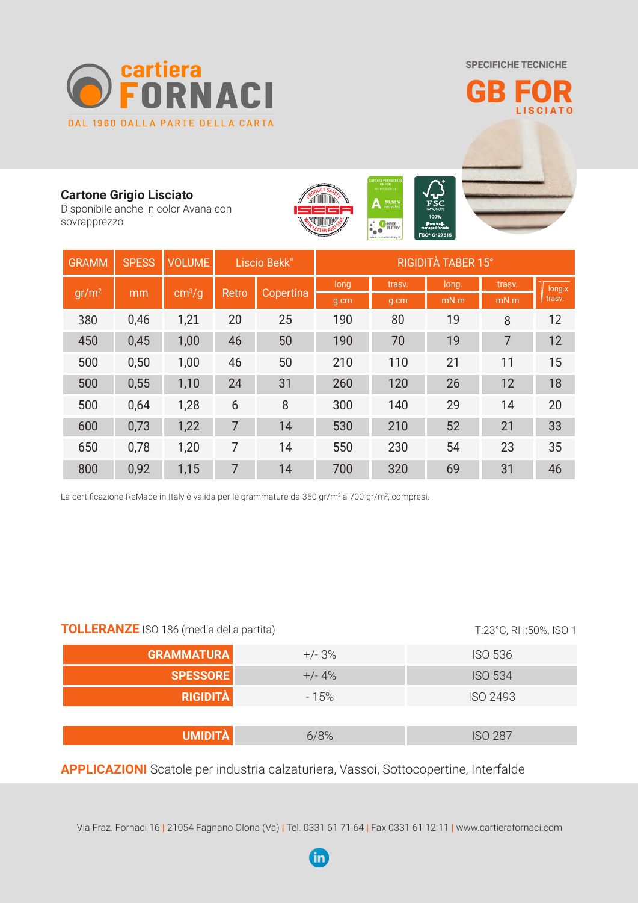**SPECIFICHE TECNICHE**



GB FOR LISCIATO

## **Cartone Grigio Lisciato**

Disponibile anche in color Avana con sovrapprezzo



| <b>GRAMM</b>      | <b>SPESS</b> | <b>VOLUME</b>          | Liscio Bekk" |           | <b>RIGIDITÀ TABER 15°</b> |        |       |        |                  |
|-------------------|--------------|------------------------|--------------|-----------|---------------------------|--------|-------|--------|------------------|
| gr/m <sup>2</sup> | mm           | $\text{cm}^3/\text{g}$ | Retro        | Copertina | long                      | trasv. | long. | trasv. | long.x<br>trasv. |
|                   |              |                        |              |           | g.cm                      | g.cm   | mN.m  | mN.m   |                  |
| 380               | 0,46         | 1,21                   | 20           | 25        | 190                       | 80     | 19    | 8      | 12               |
| 450               | 0,45         | 1,00                   | 46           | 50        | 190                       | 70     | 19    | 7      | 12               |
| 500               | 0,50         | 1,00                   | 46           | 50        | 210                       | 110    | 21    | 11     | 15               |
| 500               | 0,55         | 1,10                   | 24           | 31        | 260                       | 120    | 26    | 12     | 18               |
| 500               | 0,64         | 1,28                   | 6            | 8         | 300                       | 140    | 29    | 14     | 20               |
| 600               | 0,73         | 1,22                   | 7            | 14        | 530                       | 210    | 52    | 21     | 33               |
| 650               | 0,78         | 1,20                   | 7            | 14        | 550                       | 230    | 54    | 23     | 35               |
| 800               | 0,92         | 1,15                   | 7            | 14        | 700                       | 320    | 69    | 31     | 46               |

La certificazione ReMade in Italy è valida per le grammature da 350 gr/m<sup>2</sup> a 700 gr/m<sup>2</sup>, compresi.

| <b>TOLLERANZE</b> ISO 186 (media della partita) | T:23°C, RH:50%, ISO 1 |                |  |
|-------------------------------------------------|-----------------------|----------------|--|
| <b>GRAMMATURA</b>                               | $+/- 3%$              | <b>ISO 536</b> |  |
| <b>SPESSORE</b>                                 | $+/- 4%$              | <b>ISO 534</b> |  |
| <b>RIGIDITÀ</b>                                 | $-15%$                | ISO 2493       |  |
|                                                 |                       |                |  |
| <b>UMIDITÀ</b>                                  | 6/8%                  | <b>ISO 287</b> |  |

**APPLICAZIONI** Scatole per industria calzaturiera, Vassoi, Sottocopertine, Interfalde

Via Fraz. Fornaci 16 | 21054 Fagnano Olona (Va) | Tel. 0331 61 71 64 | Fax 0331 61 12 11 | www.cartierafornaci.com

 $\overline{\mathsf{in}}$